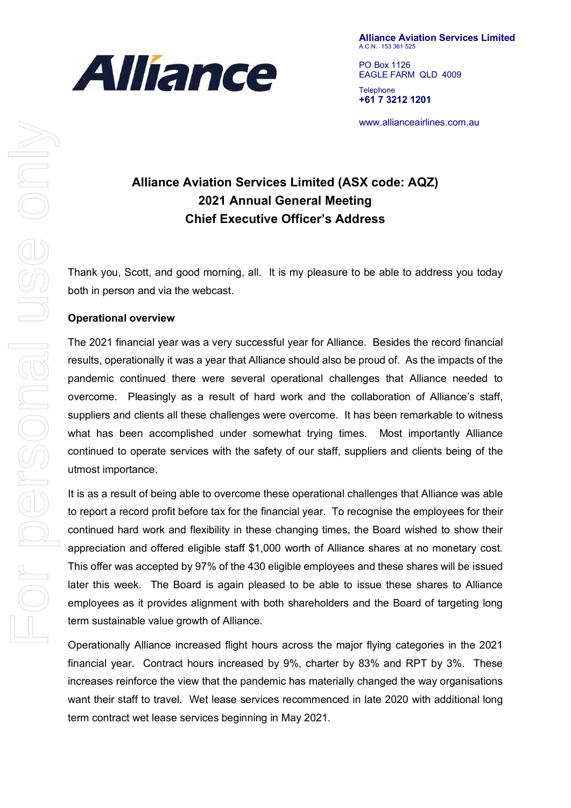

**Alliance Aviation Services Limited** A.C.N. 153 361 525

PO Box 1126 EAGLE FARM QLD 4009 **Telephone +61 7 3212 1201**

www.allianceairlines.com.au

# **Alliance Aviation Services Limited (ASX code: AQZ) 2021 Annual General Meeting Chief Executive Officer's Address**

Thank you, Scott, and good morning, all. It is my pleasure to be able to address you today both in person and via the webcast.

### **Operational overview**

The 2021 financial year was a very successful year for Alliance. Besides the record financial results, operationally it was a year that Alliance should also be proud of. As the impacts of the pandemic continued there were several operational challenges that Alliance needed to overcome. Pleasingly as a result of hard work and the collaboration of Alliance's staff, suppliers and clients all these challenges were overcome. It has been remarkable to witness what has been accomplished under somewhat trying times. Most importantly Alliance continued to operate services with the safety of our staff, suppliers and clients being of the utmost importance.

It is as a result of being able to overcome these operational challenges that Alliance was able to report a record profit before tax for the financial year. To recognise the employees for their continued hard work and flexibility in these changing times, the Board wished to show their appreciation and offered eligible staff \$1,000 worth of Alliance shares at no monetary cost. This offer was accepted by 97% of the 430 eligible employees and these shares will be issued later this week. The Board is again pleased to be able to issue these shares to Alliance employees as it provides alignment with both shareholders and the Board of targeting long term sustainable value growth of Alliance.

Operationally Alliance increased flight hours across the major flying categories in the 2021 financial year. Contract hours increased by 9%, charter by 83% and RPT by 3%. These increases reinforce the view that the pandemic has materially changed the way organisations want their staff to travel. Wet lease services recommenced in late 2020 with additional long term contract wet lease services beginning in May 2021.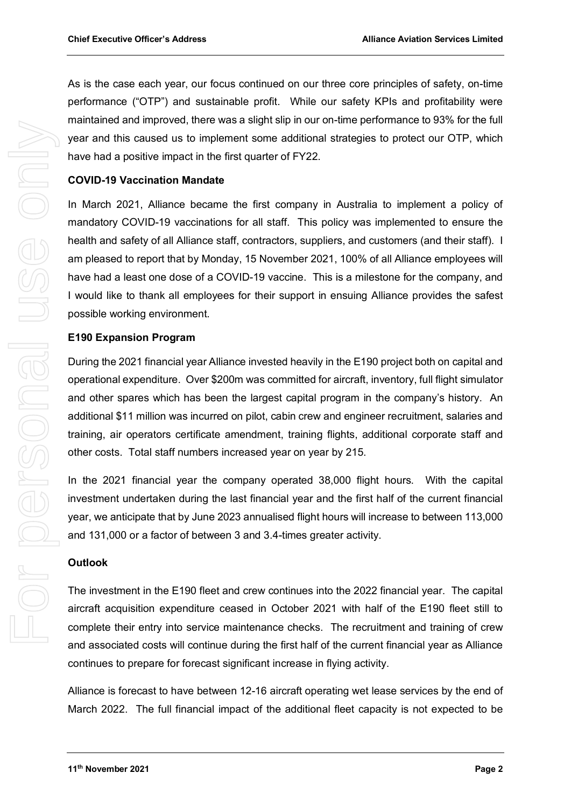As is the case each year, our focus continued on our three core principles of safety, on-time performance ("OTP") and sustainable profit. While our safety KPIs and profitability were maintained and improved, there was a slight slip in our on-time performance to 93% for the full year and this caused us to implement some additional strategies to protect our OTP, which have had a positive impact in the first quarter of FY22.

### **COVID-19 Vaccination Mandate**

In March 2021, Alliance became the first company in Australia to implement a policy of mandatory COVID-19 vaccinations for all staff. This policy was implemented to ensure the health and safety of all Alliance staff, contractors, suppliers, and customers (and their staff). I am pleased to report that by Monday, 15 November 2021, 100% of all Alliance employees will have had a least one dose of a COVID-19 vaccine. This is a milestone for the company, and I would like to thank all employees for their support in ensuing Alliance provides the safest possible working environment.

# **E190 Expansion Program**

During the 2021 financial year Alliance invested heavily in the E190 project both on capital and operational expenditure. Over \$200m was committed for aircraft, inventory, full flight simulator and other spares which has been the largest capital program in the company's history. An additional \$11 million was incurred on pilot, cabin crew and engineer recruitment, salaries and training, air operators certificate amendment, training flights, additional corporate staff and other costs. Total staff numbers increased year on year by 215.

In the 2021 financial year the company operated 38,000 flight hours. With the capital investment undertaken during the last financial year and the first half of the current financial year, we anticipate that by June 2023 annualised flight hours will increase to between 113,000 and 131,000 or a factor of between 3 and 3.4-times greater activity.

### **Outlook**

The investment in the E190 fleet and crew continues into the 2022 financial year. The capital aircraft acquisition expenditure ceased in October 2021 with half of the E190 fleet still to complete their entry into service maintenance checks. The recruitment and training of crew and associated costs will continue during the first half of the current financial year as Alliance continues to prepare for forecast significant increase in flying activity.

Alliance is forecast to have between 12-16 aircraft operating wet lease services by the end of March 2022. The full financial impact of the additional fleet capacity is not expected to be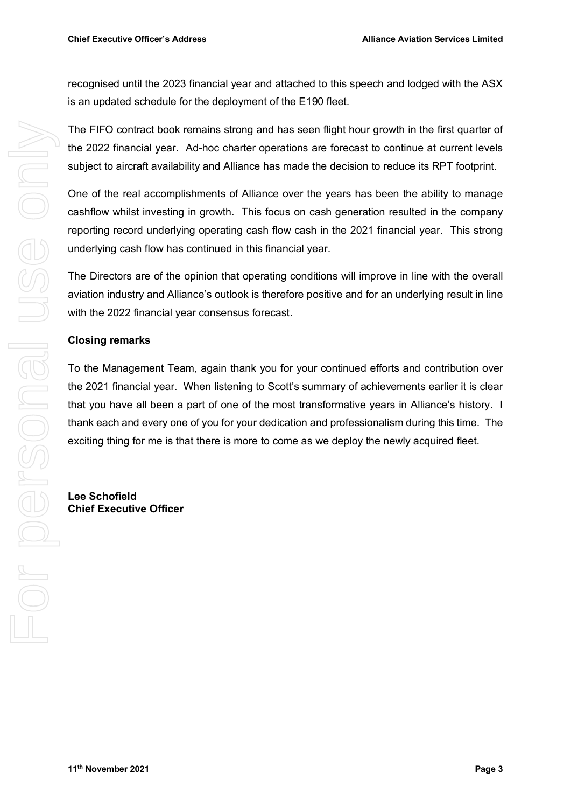recognised until the 2023 financial year and attached to this speech and lodged with the ASX is an updated schedule for the deployment of the E190 fleet.

The FIFO contract book remains strong and has seen flight hour growth in the first quarter of the 2022 financial year. Ad-hoc charter operations are forecast to continue at current levels subject to aircraft availability and Alliance has made the decision to reduce its RPT footprint.

One of the real accomplishments of Alliance over the years has been the ability to manage cashflow whilst investing in growth. This focus on cash generation resulted in the company reporting record underlying operating cash flow cash in the 2021 financial year. This strong underlying cash flow has continued in this financial year.

The Directors are of the opinion that operating conditions will improve in line with the overall aviation industry and Alliance's outlook is therefore positive and for an underlying result in line with the 2022 financial year consensus forecast.

# **Closing remarks**

To the Management Team, again thank you for your continued efforts and contribution over the 2021 financial year. When listening to Scott's summary of achievements earlier it is clear that you have all been a part of one of the most transformative years in Alliance's history. I thank each and every one of you for your dedication and professionalism during this time. The exciting thing for me is that there is more to come as we deploy the newly acquired fleet.

**Lee Schofield Chief Executive Officer**